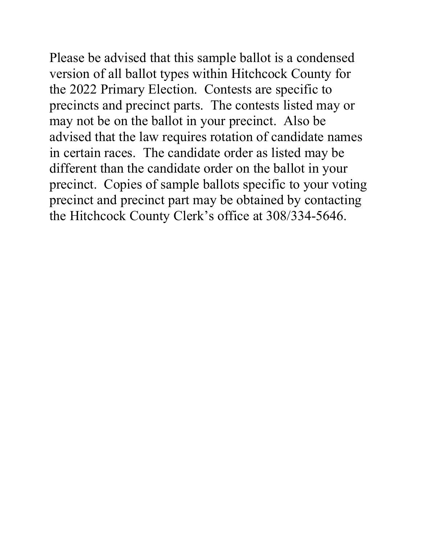Please be advised that this sample ballot is a condensed version of all ballot types within Hitchcock County for the 2022 Primary Election. Contests are specific to precincts and precinct parts. The contests listed may or may not be on the ballot in your precinct. Also be advised that the law requires rotation of candidate names in certain races. The candidate order as listed may be different than the candidate order on the ballot in your precinct. Copies of sample ballots specific to your voting precinct and precinct part may be obtained by contacting the Hitchcock County Clerk's office at 308/334-5646.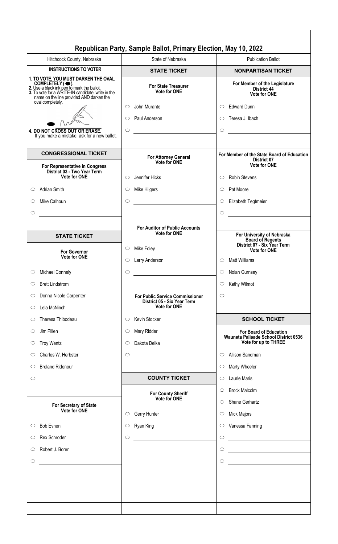|                                                                                                                                                                                                        | Republican Party, Sample Ballot, Primary Election, May 10, 2022                       |                                                                                                                 |
|--------------------------------------------------------------------------------------------------------------------------------------------------------------------------------------------------------|---------------------------------------------------------------------------------------|-----------------------------------------------------------------------------------------------------------------|
| Hitchcock County, Nebraska                                                                                                                                                                             | State of Nebraska                                                                     | <b>Publication Ballot</b>                                                                                       |
| <b>INSTRUCTIONS TO VOTER</b>                                                                                                                                                                           | <b>STATE TICKET</b>                                                                   | <b>NONPARTISAN TICKET</b>                                                                                       |
| 1. TO VOTE, YOU MUST DARKEN THE OVAL<br>COMPLETELY (O).<br>2. Use a black ink pen to mark the ballot.<br>3. To vote for a WRITE-IN candidate, write in the<br>name on the line provided AND darken the | <b>For State Treasurer</b><br><b>Vote for ONE</b>                                     | For Member of the Legislature<br><b>District 44</b><br>Vote for ONE                                             |
| oval completely.<br>4. DO NOT CROSS OUT OR ERASE.<br>If you make a mistake, ask for a new ballot.                                                                                                      | John Murante<br>$\circ$<br>Paul Anderson<br>$\circ$<br>$\circ$                        | <b>Edward Dunn</b><br>$\circ$<br>Teresa J. Ibach<br>O<br>$\circ$                                                |
| <b>CONGRESSIONAL TICKET</b>                                                                                                                                                                            | For Attorney General<br>Vote for ONE                                                  | For Member of the State Board of Education<br>District 07                                                       |
| For Representative in Congress<br>District 03 - Two Year Term<br>Vote for ONE<br><b>Adrian Smith</b><br>$\circ$<br>Mike Calhoun<br>O<br>$\circ$                                                        | Jennifer Hicks<br>O<br>Mike Hilgers<br>$\circ$<br>$\circ$                             | <b>Vote for ONE</b><br><b>Robin Stevens</b><br>◯<br>Pat Moore<br>◯<br>Elizabeth Tegtmeier<br>$\circ$<br>$\circ$ |
| <b>STATE TICKET</b>                                                                                                                                                                                    | <b>For Auditor of Public Accounts</b><br><b>Vote for ONE</b>                          | For University of Nebraska                                                                                      |
| <b>For Governor</b><br><b>Vote for ONE</b>                                                                                                                                                             | Mike Foley<br>$\circ$<br>$\circ$<br>Larry Anderson                                    | <b>Board of Regents</b><br>District 07 - Six Year Term<br><b>Vote for ONE</b><br><b>Matt Williams</b><br>O      |
| <b>Michael Connely</b><br>$\circ$                                                                                                                                                                      | $\bigcirc$                                                                            | Nolan Gurnsey<br>$\circ$                                                                                        |
| <b>Brett Lindstrom</b><br>$\circ$                                                                                                                                                                      |                                                                                       | Kathy Wilmot<br>$\circ$                                                                                         |
| Donna Nicole Carpenter<br>$\circ$<br>Lela McNinch<br>$\circ$                                                                                                                                           | <b>For Public Service Commissioner</b><br>District 05 - Six Year Term<br>Vote for ONE | $\bigcirc$                                                                                                      |
| Theresa Thibodeau<br>$\circ$                                                                                                                                                                           | Kevin Stocker<br>$\circ$                                                              | <b>SCHOOL TICKET</b>                                                                                            |
| Jim Pillen<br>$\circ$<br><b>Troy Wentz</b><br>$\circ$                                                                                                                                                  | Mary Ridder<br>$\circ$<br>Dakota Delka<br>$\circ$                                     | <b>For Board of Education</b><br>Wauneta Palisade School District 0536<br>Vote for up to THREE                  |
| Charles W. Herbster<br>$\circ$                                                                                                                                                                         | $\bigcirc$                                                                            | Allison Sandman<br>$\circ$                                                                                      |
| <b>Breland Ridenour</b><br>O                                                                                                                                                                           |                                                                                       | <b>Marty Wheeler</b><br>$\circ$                                                                                 |
| $\circ$<br><u> 1990 - Jan Barnett, francuski politik (</u>                                                                                                                                             | <b>COUNTY TICKET</b>                                                                  | <b>Laurie Maris</b><br>$\circ$                                                                                  |
| For Secretary of State<br>Vote for ONE                                                                                                                                                                 | <b>For County Sheriff</b><br>Vote for ONE<br>Gerry Hunter<br>$\circ$                  | <b>Brock Malcolm</b><br>$\circ$<br>Shane Gerhartz<br>$\circ$<br><b>Mick Majors</b><br>$\circ$                   |
| <b>Bob Evnen</b><br>$\circ$                                                                                                                                                                            | Ryan King<br>$\circ$                                                                  | Vanessa Fanning<br>$\circ$                                                                                      |
| Rex Schroder<br>$\circlearrowright$                                                                                                                                                                    | $\circ$<br><u> 1980 - Andrea State Barbara, poeta esp</u>                             | $\bigcirc$<br><u> 1980 - Andrea Albert III, martin a</u>                                                        |
| Robert J. Borer<br>$\circ$                                                                                                                                                                             |                                                                                       | $\circ$                                                                                                         |
| $\circlearrowright$<br><u> 1980 - Andrea Station Books, amerikansk politik (</u>                                                                                                                       |                                                                                       | $\circ$                                                                                                         |
|                                                                                                                                                                                                        |                                                                                       |                                                                                                                 |
|                                                                                                                                                                                                        |                                                                                       |                                                                                                                 |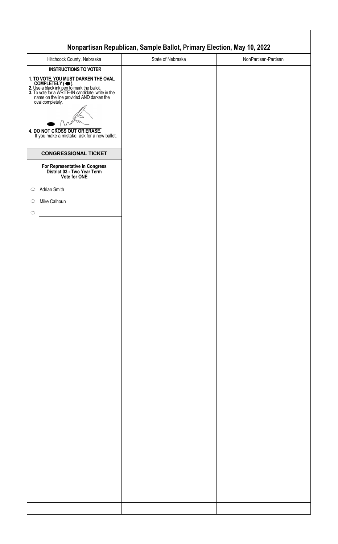| Hitchcock County, Nebraska                                                                                                                                                                                                  | State of Nebraska | NonPartisan-Partisan |
|-----------------------------------------------------------------------------------------------------------------------------------------------------------------------------------------------------------------------------|-------------------|----------------------|
| <b>INSTRUCTIONS TO VOTER</b>                                                                                                                                                                                                |                   |                      |
|                                                                                                                                                                                                                             |                   |                      |
| 1. TO VOTE, YOU MUST DARKEN THE OVAL<br>COMPLETELY ( •).<br>2. Use a black ink pen to mark the ballot.<br>3. To vote for a WRITE-IN candidate, write in the<br>name on the line provided AND darken the<br>oval completely. |                   |                      |
|                                                                                                                                                                                                                             |                   |                      |
|                                                                                                                                                                                                                             |                   |                      |
|                                                                                                                                                                                                                             |                   |                      |
|                                                                                                                                                                                                                             |                   |                      |
| 4. DO NOT CROSS OUT OR ERASE.<br>If you make a mistake, ask for a new ballot.                                                                                                                                               |                   |                      |
|                                                                                                                                                                                                                             |                   |                      |
| <b>CONGRESSIONAL TICKET</b>                                                                                                                                                                                                 |                   |                      |
|                                                                                                                                                                                                                             |                   |                      |
| For Representative in Congress<br>District 03 - Two Year Term<br>Vote for ONE                                                                                                                                               |                   |                      |
|                                                                                                                                                                                                                             |                   |                      |
| Adrian Smith                                                                                                                                                                                                                |                   |                      |
| Mike Calhoun                                                                                                                                                                                                                |                   |                      |
|                                                                                                                                                                                                                             |                   |                      |
|                                                                                                                                                                                                                             |                   |                      |
|                                                                                                                                                                                                                             |                   |                      |
|                                                                                                                                                                                                                             |                   |                      |
|                                                                                                                                                                                                                             |                   |                      |
|                                                                                                                                                                                                                             |                   |                      |
|                                                                                                                                                                                                                             |                   |                      |
|                                                                                                                                                                                                                             |                   |                      |
|                                                                                                                                                                                                                             |                   |                      |
|                                                                                                                                                                                                                             |                   |                      |
|                                                                                                                                                                                                                             |                   |                      |
|                                                                                                                                                                                                                             |                   |                      |
|                                                                                                                                                                                                                             |                   |                      |
|                                                                                                                                                                                                                             |                   |                      |
|                                                                                                                                                                                                                             |                   |                      |
|                                                                                                                                                                                                                             |                   |                      |
|                                                                                                                                                                                                                             |                   |                      |
|                                                                                                                                                                                                                             |                   |                      |
|                                                                                                                                                                                                                             |                   |                      |
|                                                                                                                                                                                                                             |                   |                      |
|                                                                                                                                                                                                                             |                   |                      |
|                                                                                                                                                                                                                             |                   |                      |
|                                                                                                                                                                                                                             |                   |                      |
|                                                                                                                                                                                                                             |                   |                      |
|                                                                                                                                                                                                                             |                   |                      |
|                                                                                                                                                                                                                             |                   |                      |
|                                                                                                                                                                                                                             |                   |                      |
|                                                                                                                                                                                                                             |                   |                      |
|                                                                                                                                                                                                                             |                   |                      |
|                                                                                                                                                                                                                             |                   |                      |
|                                                                                                                                                                                                                             |                   |                      |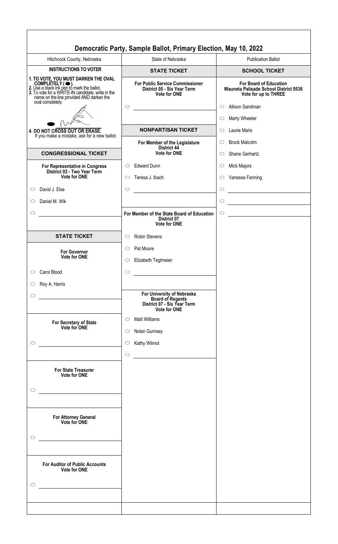|                                                                                                                                                                                                        | Democratic Party, Sample Ballot, Primary Election, May 10, 2022                                                                 |                                                                                                                                    |
|--------------------------------------------------------------------------------------------------------------------------------------------------------------------------------------------------------|---------------------------------------------------------------------------------------------------------------------------------|------------------------------------------------------------------------------------------------------------------------------------|
| Hitchcock County, Nebraska                                                                                                                                                                             | State of Nebraska                                                                                                               | <b>Publication Ballot</b>                                                                                                          |
| <b>INSTRUCTIONS TO VOTER</b>                                                                                                                                                                           | <b>STATE TICKET</b>                                                                                                             | <b>SCHOOL TICKET</b>                                                                                                               |
| 1. TO VOTE, YOU MUST DARKEN THE OVAL<br>COMPLETELY (C).<br>2. Use a black ink pen to mark the ballot.<br>3. To vote for a WRITE-IN candidate, write in the<br>name on the line provided AND darken the | <b>For Public Service Commissioner</b><br>District 05 - Six Year Term<br><b>Vote for ONE</b>                                    | <b>For Board of Education</b><br>Wauneta Palisade School District 0536<br>Vote for up to THREE                                     |
| oval completely.                                                                                                                                                                                       | $\circ$                                                                                                                         | Allison Sandman<br>$\circ$<br>Marty Wheeler<br>$\circ$                                                                             |
| 4. DO NOT CROSS OUT OR ERASE.<br>If you make a mistake, ask for a new ballot.                                                                                                                          | <b>NONPARTISAN TICKET</b>                                                                                                       | <b>Laurie Maris</b><br>$\circ$                                                                                                     |
|                                                                                                                                                                                                        | For Member of the Legislature<br><b>District 44</b>                                                                             | <b>Brock Malcolm</b><br>$\circ$                                                                                                    |
| <b>CONGRESSIONAL TICKET</b>                                                                                                                                                                            | <b>Vote for ONE</b>                                                                                                             | Shane Gerhartz<br>$\circ$                                                                                                          |
| For Representative in Congress                                                                                                                                                                         | <b>Edward Dunn</b><br>$\circ$                                                                                                   | <b>Mick Majors</b><br>$\circ$                                                                                                      |
| District 03 - Two Year Term<br><b>Vote for ONE</b>                                                                                                                                                     | Teresa J. Ibach<br>$\circ$                                                                                                      | Vanessa Fanning<br>$\circ$                                                                                                         |
| David J. Else<br>$\circ$                                                                                                                                                                               | $\circ$                                                                                                                         | $\circ$                                                                                                                            |
| Daniel M. Wik<br>O                                                                                                                                                                                     |                                                                                                                                 | $\circ$<br><u> 1989 - Johann Barbara, martxa alemaniar a</u>                                                                       |
| $\circ$                                                                                                                                                                                                | For Member of the State Board of Education<br><b>District 07</b><br><b>Vote for ONE</b>                                         | $\bigcirc$<br><u> 1980 - Jan Stein Stein Stein Stein Stein Stein Stein Stein Stein Stein Stein Stein Stein Stein Stein Stein S</u> |
| <b>STATE TICKET</b>                                                                                                                                                                                    | <b>Robin Stevens</b><br>$\circ$                                                                                                 |                                                                                                                                    |
| <b>For Governor</b>                                                                                                                                                                                    | Pat Moore<br>$\circ$                                                                                                            |                                                                                                                                    |
| <b>Vote for ONE</b>                                                                                                                                                                                    | Elizabeth Tegtmeier<br>$\circ$                                                                                                  |                                                                                                                                    |
| Carol Blood<br>$\circ$                                                                                                                                                                                 | $\circ$                                                                                                                         |                                                                                                                                    |
| Roy A. Harris<br>$\circ$                                                                                                                                                                               |                                                                                                                                 |                                                                                                                                    |
| $\circlearrowright$                                                                                                                                                                                    | For University of Nebraska<br><b>Board of Regents<br/>District 07 - Six Year Term</b><br><b>Vote for ONE</b>                    |                                                                                                                                    |
| For Secretary of State<br>Vote for ONE                                                                                                                                                                 | <b>Matt Williams</b><br>$\circ$<br>Nolan Gurnsey<br>$\circ$                                                                     |                                                                                                                                    |
| $\circ$                                                                                                                                                                                                | Kathy Wilmot<br>$\circ$                                                                                                         |                                                                                                                                    |
| <b>For State Treasurer</b><br><b>Vote for ONE</b>                                                                                                                                                      | $\circ$<br><u> 1989 - Jan Stein Stein Stein Stein Stein Stein Stein Stein Stein Stein Stein Stein Stein Stein Stein Stein S</u> |                                                                                                                                    |
| $\circlearrowright$<br>$\mathcal{L}^{\mathcal{L}}(\mathcal{L}^{\mathcal{L}})$ and $\mathcal{L}^{\mathcal{L}}(\mathcal{L}^{\mathcal{L}})$ . In the contract of the $\mathcal{L}^{\mathcal{L}}$          |                                                                                                                                 |                                                                                                                                    |
| For Attorney General<br>Vote for ONE<br>$\circ$                                                                                                                                                        |                                                                                                                                 |                                                                                                                                    |
| <b>For Auditor of Public Accounts</b><br><b>Vote for ONE</b><br>$\circ$                                                                                                                                |                                                                                                                                 |                                                                                                                                    |
|                                                                                                                                                                                                        |                                                                                                                                 |                                                                                                                                    |
|                                                                                                                                                                                                        |                                                                                                                                 |                                                                                                                                    |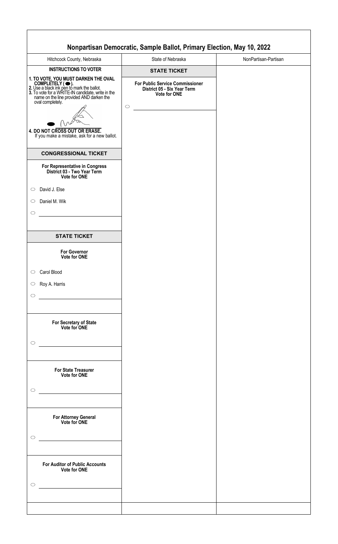|                                                                                                                                                                                                                                                                                                               | Nonpartisan Democratic, Sample Ballot, Primary Election, May 10, 2022                                      |                      |
|---------------------------------------------------------------------------------------------------------------------------------------------------------------------------------------------------------------------------------------------------------------------------------------------------------------|------------------------------------------------------------------------------------------------------------|----------------------|
| Hitchcock County, Nebraska                                                                                                                                                                                                                                                                                    | State of Nebraska                                                                                          | NonPartisan-Partisan |
| <b>INSTRUCTIONS TO VOTER</b>                                                                                                                                                                                                                                                                                  | <b>STATE TICKET</b>                                                                                        |                      |
| 1. TO VOTE, YOU MUST DARKEN THE OVAL<br>COMPLETELY ( • ).<br>2. Use a black ink pen to mark the ballot.<br>3. To vote for a WRITE-IN candidate, write in the<br>name on the line provided AND darken the<br>oval completely.<br>4. DO NOT CROSS OUT OR ERASE.<br>If you make a mistake, ask for a new ballot. | <b>For Public Service Commissioner</b><br>District 05 - Six Year Term<br><b>Vote for ONE</b><br>$\bigcirc$ |                      |
| <b>CONGRESSIONAL TICKET</b>                                                                                                                                                                                                                                                                                   |                                                                                                            |                      |
| For Representative in Congress<br>District 03 - Two Year Term<br>Vote for ONE                                                                                                                                                                                                                                 |                                                                                                            |                      |
| David J. Else<br>$\circ$                                                                                                                                                                                                                                                                                      |                                                                                                            |                      |
| Daniel M. Wik<br>$\circ$                                                                                                                                                                                                                                                                                      |                                                                                                            |                      |
| $\circ$                                                                                                                                                                                                                                                                                                       |                                                                                                            |                      |
| <b>STATE TICKET</b>                                                                                                                                                                                                                                                                                           |                                                                                                            |                      |
| <b>For Governor</b><br>Vote for ONE                                                                                                                                                                                                                                                                           |                                                                                                            |                      |
| Carol Blood<br>$\bigcirc$                                                                                                                                                                                                                                                                                     |                                                                                                            |                      |
| Roy A. Harris<br>$\circ$                                                                                                                                                                                                                                                                                      |                                                                                                            |                      |
| $\circ$                                                                                                                                                                                                                                                                                                       |                                                                                                            |                      |
| For Secretary of State<br>Vote for ONE                                                                                                                                                                                                                                                                        |                                                                                                            |                      |
| $\circ$                                                                                                                                                                                                                                                                                                       |                                                                                                            |                      |
| For State Treasurer<br>Vote for ONE                                                                                                                                                                                                                                                                           |                                                                                                            |                      |
| $\circ$<br>$\mathcal{L}^{\mathcal{L}}(\mathcal{L}^{\mathcal{L}})$ and $\mathcal{L}^{\mathcal{L}}(\mathcal{L}^{\mathcal{L}})$ and $\mathcal{L}^{\mathcal{L}}(\mathcal{L}^{\mathcal{L}})$                                                                                                                       |                                                                                                            |                      |
| For Attorney General<br>Vote for ONE                                                                                                                                                                                                                                                                          |                                                                                                            |                      |
| $\circ$                                                                                                                                                                                                                                                                                                       |                                                                                                            |                      |
| <b>For Auditor of Public Accounts</b><br>Vote for ONE                                                                                                                                                                                                                                                         |                                                                                                            |                      |
| $\circ$                                                                                                                                                                                                                                                                                                       |                                                                                                            |                      |
|                                                                                                                                                                                                                                                                                                               |                                                                                                            |                      |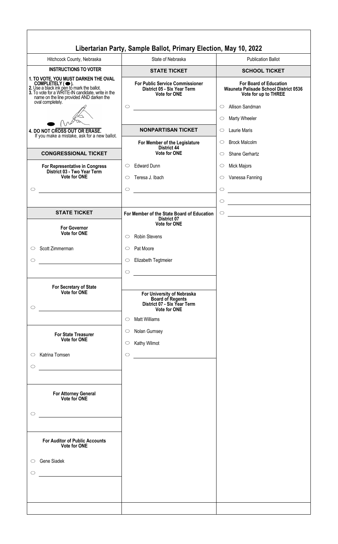|                                                                                                                                                                                                        | Libertarian Party, Sample Ballot, Primary Election, May 10, 2022                                            |                                                                                                |
|--------------------------------------------------------------------------------------------------------------------------------------------------------------------------------------------------------|-------------------------------------------------------------------------------------------------------------|------------------------------------------------------------------------------------------------|
| Hitchcock County, Nebraska                                                                                                                                                                             | State of Nebraska                                                                                           | <b>Publication Ballot</b>                                                                      |
| <b>INSTRUCTIONS TO VOTER</b>                                                                                                                                                                           | <b>STATE TICKET</b>                                                                                         | <b>SCHOOL TICKET</b>                                                                           |
| 1. TO VOTE, YOU MUST DARKEN THE OVAL<br>COMPLETELY (C).<br>2. Use a black ink pen to mark the ballot.<br>3. To vote for a WRITE-IN candidate, write in the<br>name on the line provided AND darken the | <b>For Public Service Commissioner</b><br>District 05 - Six Year Term<br><b>Vote for ONE</b>                | <b>For Board of Education</b><br>Wauneta Palisade School District 0536<br>Vote for up to THREE |
| oval completely.                                                                                                                                                                                       | $\circ$                                                                                                     | Allison Sandman<br>$\circ$<br>Marty Wheeler<br>$\circ$                                         |
| 4. DO NOT CROSS OUT OR ERASE.<br>If you make a mistake, ask for a new ballot.                                                                                                                          | <b>NONPARTISAN TICKET</b>                                                                                   | <b>Laurie Maris</b><br>$\circ$                                                                 |
| <b>CONGRESSIONAL TICKET</b>                                                                                                                                                                            | For Member of the Legislature<br><b>District 44</b><br>Vote for ONE                                         | <b>Brock Malcolm</b><br>$\circ$<br>Shane Gerhartz<br>$\circ$                                   |
| For Representative in Congress<br>District 03 - Two Year Term<br><b>Vote for ONE</b>                                                                                                                   | <b>Edward Dunn</b><br>$\circ$                                                                               | Mick Majors<br>$\circ$                                                                         |
| $\circ$                                                                                                                                                                                                | Teresa J. Ibach<br>O<br>$\circ$                                                                             | Vanessa Fanning<br>$\circ$<br>$\circ$                                                          |
|                                                                                                                                                                                                        |                                                                                                             | $\circ$<br><u> 1980 - Johann Barbara, martxa alemaniar a</u>                                   |
| <b>STATE TICKET</b>                                                                                                                                                                                    | For Member of the State Board of Education<br>District 07                                                   | $\bigcirc$<br><u> 1980 - Johann Barn, mars an t-Amerikaansk komponister (</u>                  |
| <b>For Governor</b><br><b>Vote for ONE</b>                                                                                                                                                             | <b>Vote for ONE</b>                                                                                         |                                                                                                |
| Scott Zimmerman<br>O                                                                                                                                                                                   | <b>Robin Stevens</b><br>$\circlearrowright$<br>Pat Moore<br>$\circ$                                         |                                                                                                |
| $\circlearrowright$                                                                                                                                                                                    | Elizabeth Tegtmeier<br>$\circ$                                                                              |                                                                                                |
|                                                                                                                                                                                                        | $\circ$                                                                                                     |                                                                                                |
| For Secretary of State<br>Vote for ONE<br>$\circlearrowright$                                                                                                                                          | For University of Nebraska<br><b>Board of Regents</b><br>District 07 - Six Year Term<br><b>Vote for ONE</b> |                                                                                                |
| <b>For State Treasurer</b><br><b>Vote for ONE</b>                                                                                                                                                      | <b>Matt Williams</b><br>$\circ$<br>Nolan Gurnsey<br>$\circlearrowright$<br>Kathy Wilmot<br>$\circ$          |                                                                                                |
| Katrina Tomsen<br>$\circ$<br>$\circ$                                                                                                                                                                   | $\circ$                                                                                                     |                                                                                                |
| <b>For Attorney General</b><br>Vote for ONE<br>O                                                                                                                                                       |                                                                                                             |                                                                                                |
| <b>For Auditor of Public Accounts</b><br><b>Vote for ONE</b>                                                                                                                                           |                                                                                                             |                                                                                                |
| Gene Siadek<br>$\circ$<br>O                                                                                                                                                                            |                                                                                                             |                                                                                                |
|                                                                                                                                                                                                        |                                                                                                             |                                                                                                |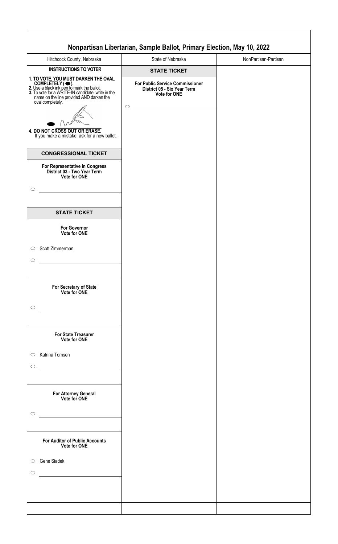|                     |                                                                                                                                                                                    | Nonpartisan Libertarian, Sample Ballot, Primary Election, May 10, 2022 |                      |
|---------------------|------------------------------------------------------------------------------------------------------------------------------------------------------------------------------------|------------------------------------------------------------------------|----------------------|
|                     | Hitchcock County, Nebraska                                                                                                                                                         | State of Nebraska                                                      | NonPartisan-Partisan |
|                     | <b>INSTRUCTIONS TO VOTER</b>                                                                                                                                                       | <b>STATE TICKET</b>                                                    |                      |
|                     | 1. TO VOTE, YOU MUST DARKEN THE OVAL                                                                                                                                               | <b>For Public Service Commissioner</b>                                 |                      |
|                     |                                                                                                                                                                                    | District 05 - Six Year Term<br>Vote for ONE                            |                      |
|                     | COMPLETELY (C).<br>2. Use a black ink pen to mark the ballot.<br>3. To vote for a WRITE-IN candidate, write in the<br>name on the line provided AND darken the<br>oval completely. |                                                                        |                      |
|                     |                                                                                                                                                                                    | $\circ$                                                                |                      |
|                     |                                                                                                                                                                                    |                                                                        |                      |
|                     | 4. DO NOT CROSS OUT OR ERASE.<br>If you make a mistake, ask for a new ballot.                                                                                                      |                                                                        |                      |
|                     |                                                                                                                                                                                    |                                                                        |                      |
|                     | <b>CONGRESSIONAL TICKET</b>                                                                                                                                                        |                                                                        |                      |
|                     | For Representative in Congress<br>District 03 - Two Year Term<br>Vote for ONE                                                                                                      |                                                                        |                      |
| ◯                   |                                                                                                                                                                                    |                                                                        |                      |
|                     |                                                                                                                                                                                    |                                                                        |                      |
|                     | <b>STATE TICKET</b>                                                                                                                                                                |                                                                        |                      |
|                     | <b>For Governor</b><br>Vote for ONE                                                                                                                                                |                                                                        |                      |
| $\circ$             | Scott Zimmerman                                                                                                                                                                    |                                                                        |                      |
| $\circ$             |                                                                                                                                                                                    |                                                                        |                      |
|                     |                                                                                                                                                                                    |                                                                        |                      |
|                     | For Secretary of State<br>Vote for ONE                                                                                                                                             |                                                                        |                      |
| $\circlearrowright$ |                                                                                                                                                                                    |                                                                        |                      |
|                     |                                                                                                                                                                                    |                                                                        |                      |
|                     | <b>For State Treasurer</b><br><b>Vote for ONE</b>                                                                                                                                  |                                                                        |                      |
| $\circ$             | Katrina Tomsen                                                                                                                                                                     |                                                                        |                      |
| $\circ$             |                                                                                                                                                                                    |                                                                        |                      |
|                     |                                                                                                                                                                                    |                                                                        |                      |
|                     |                                                                                                                                                                                    |                                                                        |                      |
|                     | For Attorney General<br>Vote for ONE                                                                                                                                               |                                                                        |                      |
| $\circlearrowright$ |                                                                                                                                                                                    |                                                                        |                      |
|                     | <u> 1990 - Johann Barbara, martin a</u>                                                                                                                                            |                                                                        |                      |
|                     |                                                                                                                                                                                    |                                                                        |                      |
|                     | <b>For Auditor of Public Accounts</b><br><b>Vote for ONE</b>                                                                                                                       |                                                                        |                      |
| $\circ$             | Gene Siadek                                                                                                                                                                        |                                                                        |                      |
| O                   |                                                                                                                                                                                    |                                                                        |                      |
|                     |                                                                                                                                                                                    |                                                                        |                      |
|                     |                                                                                                                                                                                    |                                                                        |                      |
|                     |                                                                                                                                                                                    |                                                                        |                      |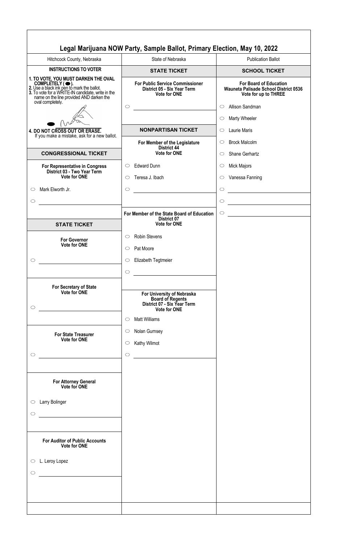|                                                                                                                                                                                                                            | Legal Marijuana NOW Party, Sample Ballot, Primary Election, May 10, 2022                                    |                                                                                                |
|----------------------------------------------------------------------------------------------------------------------------------------------------------------------------------------------------------------------------|-------------------------------------------------------------------------------------------------------------|------------------------------------------------------------------------------------------------|
| Hitchcock County, Nebraska                                                                                                                                                                                                 | State of Nebraska                                                                                           | <b>Publication Ballot</b>                                                                      |
| <b>INSTRUCTIONS TO VOTER</b>                                                                                                                                                                                               | <b>STATE TICKET</b>                                                                                         | <b>SCHOOL TICKET</b>                                                                           |
| 1. TO VOTE, YOU MUST DARKEN THE OVAL<br>COMPLETELY (C).<br>2. Use a black ink pen to mark the ballot.<br>3. To vote for a WRITE-IN candidate, write in the<br>name on the line provided AND darken the<br>oval completely. | <b>For Public Service Commissioner</b><br>District 05 - Six Year Term<br><b>Vote for ONE</b>                | <b>For Board of Education</b><br>Wauneta Palisade School District 0536<br>Vote for up to THREE |
|                                                                                                                                                                                                                            | $\circ$                                                                                                     | Allison Sandman<br>$\circ$                                                                     |
|                                                                                                                                                                                                                            |                                                                                                             | Marty Wheeler<br>$\circlearrowright$                                                           |
| 4. DO NOT CROSS OUT OR ERASE.                                                                                                                                                                                              | <b>NONPARTISAN TICKET</b>                                                                                   | Laurie Maris<br>$\bigcirc$                                                                     |
| If you make a mistake, ask for a new ballot.                                                                                                                                                                               | For Member of the Legislature                                                                               | <b>Brock Malcolm</b><br>$\circ$                                                                |
| <b>CONGRESSIONAL TICKET</b>                                                                                                                                                                                                | <b>District 44</b><br>Vote for ONE                                                                          | Shane Gerhartz<br>$\circ$                                                                      |
| For Representative in Congress<br>District 03 - Two Year Term                                                                                                                                                              | <b>Edward Dunn</b><br>$\circ$                                                                               | Mick Majors<br>$\circlearrowright$                                                             |
| <b>Vote for ONE</b>                                                                                                                                                                                                        | Teresa J. Ibach<br>◯                                                                                        | Vanessa Fanning<br>$\circ$                                                                     |
| Mark Elworth Jr.<br>$\circ$                                                                                                                                                                                                | $\circ$                                                                                                     | $\circlearrowright$                                                                            |
| $\circ$                                                                                                                                                                                                                    |                                                                                                             | $\bigcirc$<br>the control of the control of the control of                                     |
|                                                                                                                                                                                                                            |                                                                                                             |                                                                                                |
| <b>STATE TICKET</b>                                                                                                                                                                                                        | For Member of the State Board of Education<br>District 07<br><b>Vote for ONE</b>                            | $\circ$<br><u> 1989 - Andrea Station Barbara, amerikan per</u>                                 |
|                                                                                                                                                                                                                            |                                                                                                             |                                                                                                |
| <b>For Governor</b><br>Vote for ONE                                                                                                                                                                                        | <b>Robin Stevens</b><br>$\circ$<br>Pat Moore<br>$\circ$                                                     |                                                                                                |
|                                                                                                                                                                                                                            |                                                                                                             |                                                                                                |
| ◯                                                                                                                                                                                                                          | Elizabeth Tegtmeier<br>$\circ$                                                                              |                                                                                                |
|                                                                                                                                                                                                                            | $\circ$                                                                                                     |                                                                                                |
| For Secretary of State                                                                                                                                                                                                     |                                                                                                             |                                                                                                |
| Vote for ONE<br>$\circ$                                                                                                                                                                                                    | For University of Nebraska<br><b>Board of Regents</b><br>District 07 - Six Year Term<br><b>Vote for ONE</b> |                                                                                                |
|                                                                                                                                                                                                                            | <b>Matt Williams</b><br>$\circ$                                                                             |                                                                                                |
|                                                                                                                                                                                                                            | Nolan Gurnsey<br>$\circlearrowright$                                                                        |                                                                                                |
| <b>For State Treasurer</b><br>Vote for ONE                                                                                                                                                                                 |                                                                                                             |                                                                                                |
|                                                                                                                                                                                                                            | Kathy Wilmot<br>$\circlearrowright$                                                                         |                                                                                                |
| $\circ$                                                                                                                                                                                                                    | $\circ$                                                                                                     |                                                                                                |
|                                                                                                                                                                                                                            |                                                                                                             |                                                                                                |
| For Attorney General<br>Vote for ONE                                                                                                                                                                                       |                                                                                                             |                                                                                                |
| Larry Bolinger<br>$\circ$                                                                                                                                                                                                  |                                                                                                             |                                                                                                |
| $\circlearrowright$                                                                                                                                                                                                        |                                                                                                             |                                                                                                |
|                                                                                                                                                                                                                            |                                                                                                             |                                                                                                |
|                                                                                                                                                                                                                            |                                                                                                             |                                                                                                |
| <b>For Auditor of Public Accounts</b><br><b>Vote for ONE</b>                                                                                                                                                               |                                                                                                             |                                                                                                |
| L. Leroy Lopez<br>$\circ$                                                                                                                                                                                                  |                                                                                                             |                                                                                                |
| $\circ$                                                                                                                                                                                                                    |                                                                                                             |                                                                                                |
|                                                                                                                                                                                                                            |                                                                                                             |                                                                                                |
|                                                                                                                                                                                                                            |                                                                                                             |                                                                                                |
|                                                                                                                                                                                                                            |                                                                                                             |                                                                                                |
|                                                                                                                                                                                                                            |                                                                                                             |                                                                                                |
|                                                                                                                                                                                                                            |                                                                                                             |                                                                                                |

 $\sqrt{ }$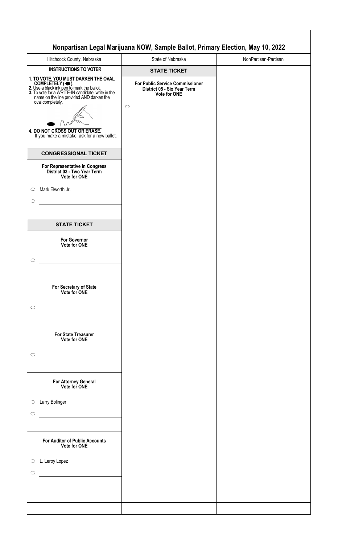|                                                                                                                                           | Nonpartisan Legal Marijuana NOW, Sample Ballot, Primary Election, May 10, 2022                      |                      |
|-------------------------------------------------------------------------------------------------------------------------------------------|-----------------------------------------------------------------------------------------------------|----------------------|
| Hitchcock County, Nebraska                                                                                                                | State of Nebraska                                                                                   | NonPartisan-Partisan |
| <b>INSTRUCTIONS TO VOTER</b>                                                                                                              | <b>STATE TICKET</b>                                                                                 |                      |
| 1. TO VOTE, YOU MUST DARKEN THE OVAL<br>oval completely.<br>4. DO NOT CROSS OUT OR ERASE.<br>If you make a mistake, ask for a new ballot. | <b>For Public Service Commissioner</b><br>District 05 - Six Year Term<br>Vote for ONE<br>$\bigcirc$ |                      |
| <b>CONGRESSIONAL TICKET</b>                                                                                                               |                                                                                                     |                      |
| For Representative in Congress<br>District 03 - Two Year Term<br>Vote for ONE                                                             |                                                                                                     |                      |
| Mark Elworth Jr.<br>$\circ$                                                                                                               |                                                                                                     |                      |
| $\circ$                                                                                                                                   |                                                                                                     |                      |
|                                                                                                                                           |                                                                                                     |                      |
| <b>STATE TICKET</b>                                                                                                                       |                                                                                                     |                      |
| <b>For Governor</b><br>Vote for ONE                                                                                                       |                                                                                                     |                      |
| $\circ$                                                                                                                                   |                                                                                                     |                      |
|                                                                                                                                           |                                                                                                     |                      |
| For Secretary of State<br>Vote for ONE                                                                                                    |                                                                                                     |                      |
| $\circ$                                                                                                                                   |                                                                                                     |                      |
| For State Treasurer<br>Vote for ONE<br>$\circ$                                                                                            |                                                                                                     |                      |
|                                                                                                                                           |                                                                                                     |                      |
| For Attorney General<br>Vote for ONE                                                                                                      |                                                                                                     |                      |
| Larry Bolinger<br>$\circ$                                                                                                                 |                                                                                                     |                      |
| $\circlearrowright$                                                                                                                       |                                                                                                     |                      |
|                                                                                                                                           |                                                                                                     |                      |
| <b>For Auditor of Public Accounts</b><br><b>Vote for ONE</b>                                                                              |                                                                                                     |                      |
| L. Leroy Lopez<br>$\circ$                                                                                                                 |                                                                                                     |                      |
| $\circ$                                                                                                                                   |                                                                                                     |                      |
|                                                                                                                                           |                                                                                                     |                      |
|                                                                                                                                           |                                                                                                     |                      |
|                                                                                                                                           |                                                                                                     |                      |